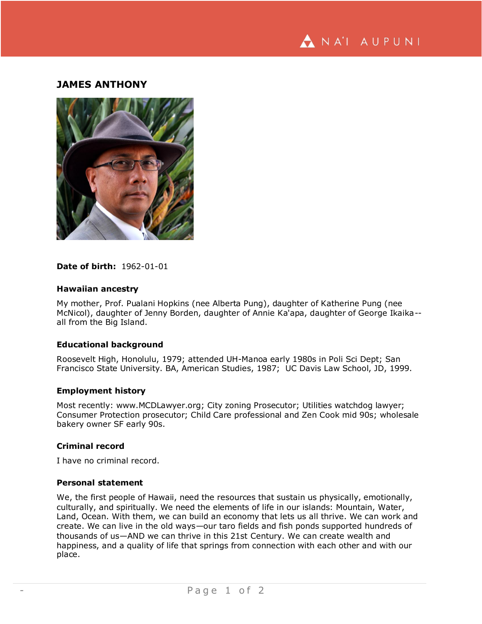

# **JAMES ANTHONY**



## **Date of birth:** 1962-01-01

### **Hawaiian ancestry**

My mother, Prof. Pualani Hopkins (nee Alberta Pung), daughter of Katherine Pung (nee McNicol), daughter of Jenny Borden, daughter of Annie Ka'apa, daughter of George Ikaika- all from the Big Island.

# **Educational background**

Roosevelt High, Honolulu, 1979; attended UH-Manoa early 1980s in Poli Sci Dept; San Francisco State University. BA, American Studies, 1987; UC Davis Law School, JD, 1999.

#### **Employment history**

Most recently: www.MCDLawyer.org; City zoning Prosecutor; Utilities watchdog lawyer; Consumer Protection prosecutor; Child Care professional and Zen Cook mid 90s; wholesale bakery owner SF early 90s.

## **Criminal record**

I have no criminal record.

### **Personal statement**

We, the first people of Hawaii, need the resources that sustain us physically, emotionally, culturally, and spiritually. We need the elements of life in our islands: Mountain, Water, Land, Ocean. With them, we can build an economy that lets us all thrive. We can work and create. We can live in the old ways—our taro fields and fish ponds supported hundreds of thousands of us—AND we can thrive in this 21st Century. We can create wealth and happiness, and a quality of life that springs from connection with each other and with our place.